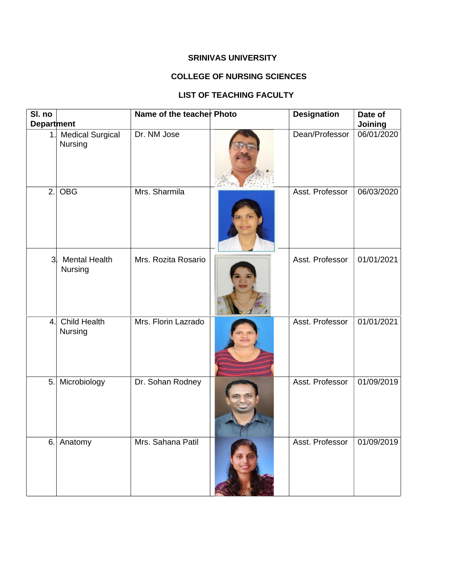## **SRINIVAS UNIVERSITY**

## **COLLEGE OF NURSING SCIENCES**

## **LIST OF TEACHING FACULTY**

| SI. no<br><b>Department</b> |                                    | Name of the teacher Photo | <b>Designation</b> | Date of<br>Joining |
|-----------------------------|------------------------------------|---------------------------|--------------------|--------------------|
| 1.                          | <b>Medical Surgical</b><br>Nursing | Dr. NM Jose               | Dean/Professor     | 06/01/2020         |
| 2.                          | <b>OBG</b>                         | Mrs. Sharmila             | Asst. Professor    | 06/03/2020         |
| 3 <sup>l</sup>              | <b>Mental Health</b><br>Nursing    | Mrs. Rozita Rosario       | Asst. Professor    | 01/01/2021         |
| 4.                          | <b>Child Health</b><br>Nursing     | Mrs. Florin Lazrado       | Asst. Professor    | 01/01/2021         |
| 5.                          | Microbiology                       | Dr. Sohan Rodney          | Asst. Professor    | 01/09/2019         |
| 6.                          | Anatomy                            | Mrs. Sahana Patil         | Asst. Professor    | 01/09/2019         |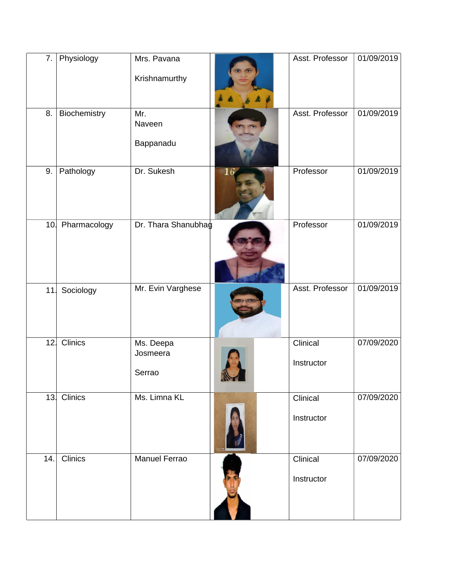| 7.  | Physiology       | Mrs. Pavana<br>Krishnamurthy    |    | Asst. Professor        | 01/09/2019 |
|-----|------------------|---------------------------------|----|------------------------|------------|
| 8.  | Biochemistry     | Mr.<br>Naveen<br>Bappanadu      |    | Asst. Professor        | 01/09/2019 |
| 9.  | Pathology        | Dr. Sukesh                      | 16 | Professor              | 01/09/2019 |
|     | 10. Pharmacology | Dr. Thara Shanubhag             |    | Professor              | 01/09/2019 |
| 11  | Sociology        | Mr. Evin Varghese               |    | Asst. Professor        | 01/09/2019 |
| 12  | <b>Clinics</b>   | Ms. Deepa<br>Josmeera<br>Serrao |    | Clinical<br>Instructor | 07/09/2020 |
| 13  | Clinics          | Ms. Limna KL                    |    | Clinical<br>Instructor | 07/09/2020 |
| 14. | <b>Clinics</b>   | <b>Manuel Ferrao</b>            |    | Clinical<br>Instructor | 07/09/2020 |